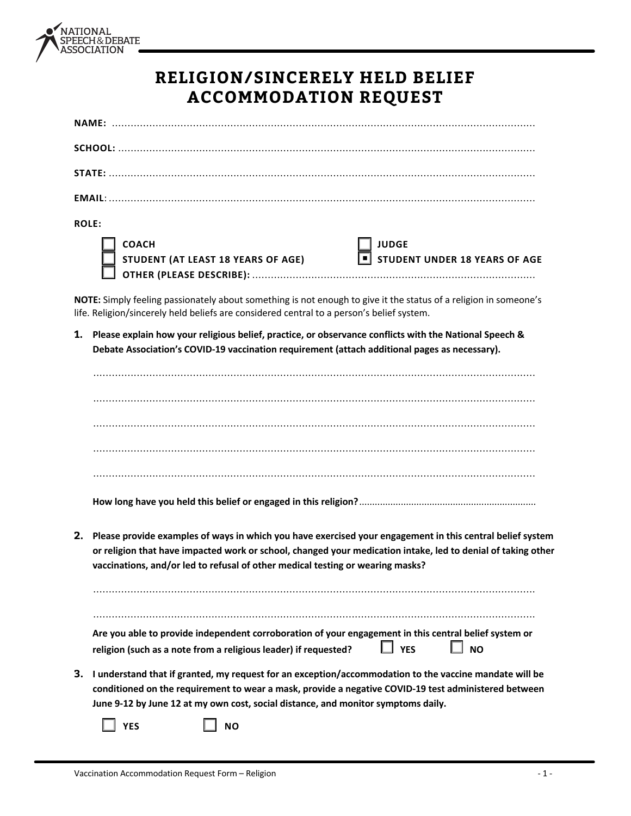

## **RELIGION/SINCERELY HELD BELIEF ACCOMMODATION REQUEST**

| <b>ROLE:</b>                                       |                                               |
|----------------------------------------------------|-----------------------------------------------|
| <b>COACH</b><br>STUDENT (AT LEAST 18 YEARS OF AGE) | <b>JUDGE</b><br>STUDENT UNDER 18 YEARS OF AGE |

**NOTE:** Simply feeling passionately about something is not enough to give it the status of a religion in someone's life. Religion/sincerely held beliefs are considered central to a person's belief system.

**1. Please explain how your religious belief, practice, or observance conflicts with the National Speech & Debate Association's COVID-19 vaccination requirement (attach additional pages as necessary).** 

| 2. | Please provide examples of ways in which you have exercised your engagement in this central belief system<br>or religion that have impacted work or school, changed your medication intake, led to denial of taking other<br>vaccinations, and/or led to refusal of other medical testing or wearing masks? |
|----|-------------------------------------------------------------------------------------------------------------------------------------------------------------------------------------------------------------------------------------------------------------------------------------------------------------|
|    | Are you able to provide independent corroboration of your engagement in this central belief system or<br>$\Box$ YES<br><b>NO</b><br>religion (such as a note from a religious leader) if requested?                                                                                                         |
| 3. | I understand that if granted, my request for an exception/accommodation to the vaccine mandate will be<br>conditioned on the requirement to wear a mask, provide a negative COVID-19 test administered between<br>June 9-12 by June 12 at my own cost, social distance, and monitor symptoms daily.         |
|    | <b>NO</b><br><b>YES</b>                                                                                                                                                                                                                                                                                     |